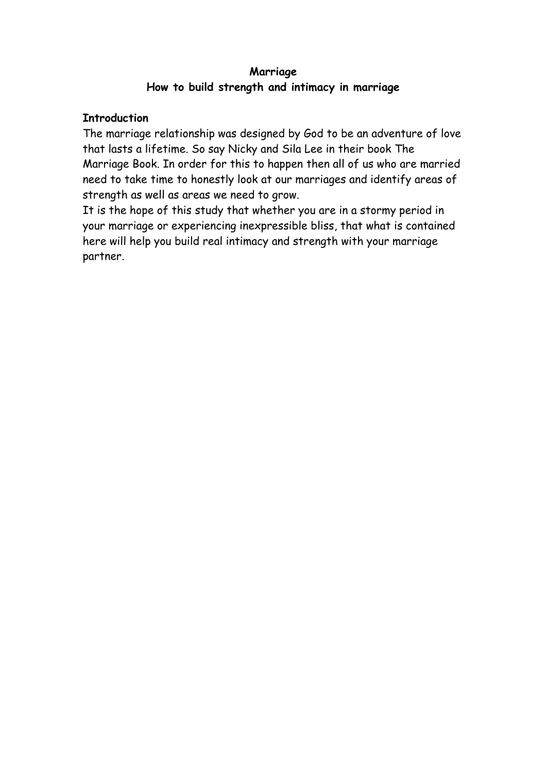## **Marriage How to build strength and intimacy in marriage**

#### **Introduction**

The marriage relationship was designed by God to be an adventure of love that lasts a lifetime. So say Nicky and Sila Lee in their book The Marriage Book. In order for this to happen then all of us who are married need to take time to honestly look at our marriages and identify areas of strength as well as areas we need to grow.

It is the hope of this study that whether you are in a stormy period in your marriage or experiencing inexpressible bliss, that what is contained here will help you build real intimacy and strength with your marriage partner.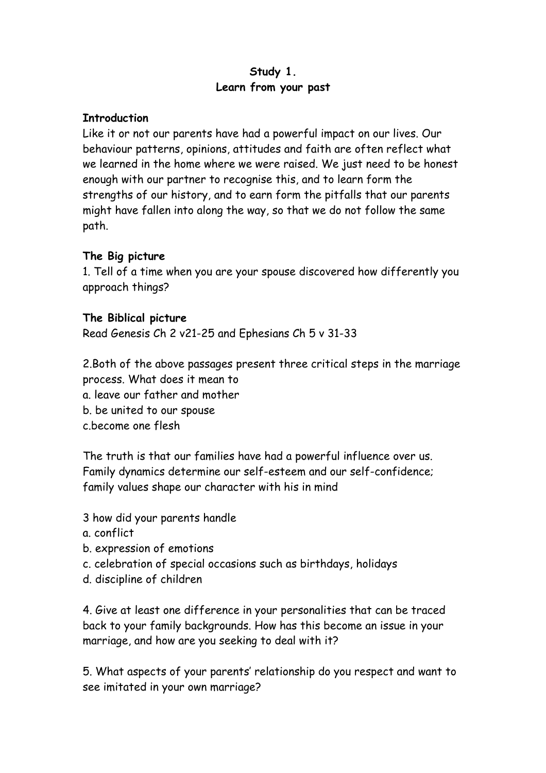# **Study 1. Learn from your past**

#### **Introduction**

Like it or not our parents have had a powerful impact on our lives. Our behaviour patterns, opinions, attitudes and faith are often reflect what we learned in the home where we were raised. We just need to be honest enough with our partner to recognise this, and to learn form the strengths of our history, and to earn form the pitfalls that our parents might have fallen into along the way, so that we do not follow the same path.

# **The Big picture**

1. Tell of a time when you are your spouse discovered how differently you approach things?

## **The Biblical picture**

Read Genesis Ch 2 v21-25 and Ephesians Ch 5 v 31-33

2.Both of the above passages present three critical steps in the marriage process. What does it mean to

a. leave our father and mother

b. be united to our spouse

c.become one flesh

The truth is that our families have had a powerful influence over us. Family dynamics determine our self-esteem and our self-confidence; family values shape our character with his in mind

3 how did your parents handle

- a. conflict
- b. expression of emotions
- c. celebration of special occasions such as birthdays, holidays
- d. discipline of children

4. Give at least one difference in your personalities that can be traced back to your family backgrounds. How has this become an issue in your marriage, and how are you seeking to deal with it?

5. What aspects of your parents' relationship do you respect and want to see imitated in your own marriage?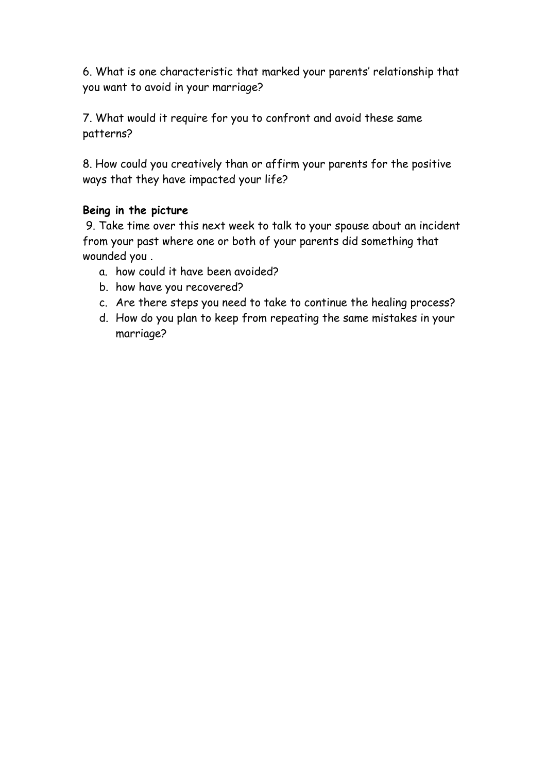6. What is one characteristic that marked your parents' relationship that you want to avoid in your marriage?

7. What would it require for you to confront and avoid these same patterns?

8. How could you creatively than or affirm your parents for the positive ways that they have impacted your life?

## **Being in the picture**

 9. Take time over this next week to talk to your spouse about an incident from your past where one or both of your parents did something that wounded you .

- a. how could it have been avoided?
- b. how have you recovered?
- c. Are there steps you need to take to continue the healing process?
- d. How do you plan to keep from repeating the same mistakes in your marriage?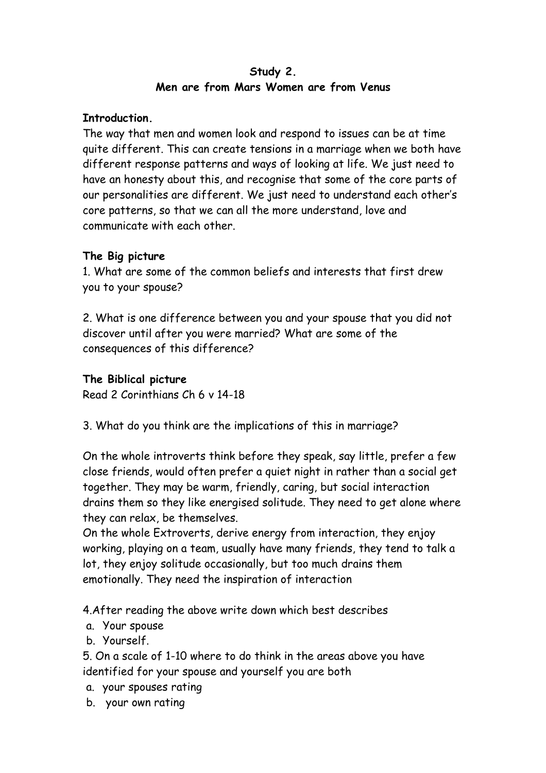## **Study 2. Men are from Mars Women are from Venus**

#### **Introduction.**

The way that men and women look and respond to issues can be at time quite different. This can create tensions in a marriage when we both have different response patterns and ways of looking at life. We just need to have an honesty about this, and recognise that some of the core parts of our personalities are different. We just need to understand each other's core patterns, so that we can all the more understand, love and communicate with each other.

# **The Big picture**

1. What are some of the common beliefs and interests that first drew you to your spouse?

2. What is one difference between you and your spouse that you did not discover until after you were married? What are some of the consequences of this difference?

## **The Biblical picture**

Read 2 Corinthians Ch 6 v 14-18

3. What do you think are the implications of this in marriage?

On the whole introverts think before they speak, say little, prefer a few close friends, would often prefer a quiet night in rather than a social get together. They may be warm, friendly, caring, but social interaction drains them so they like energised solitude. They need to get alone where they can relax, be themselves.

On the whole Extroverts, derive energy from interaction, they enjoy working, playing on a team, usually have many friends, they tend to talk a lot, they enjoy solitude occasionally, but too much drains them emotionally. They need the inspiration of interaction

4.After reading the above write down which best describes

a. Your spouse

b. Yourself.

5. On a scale of 1-10 where to do think in the areas above you have identified for your spouse and yourself you are both

- a. your spouses rating
- b. your own rating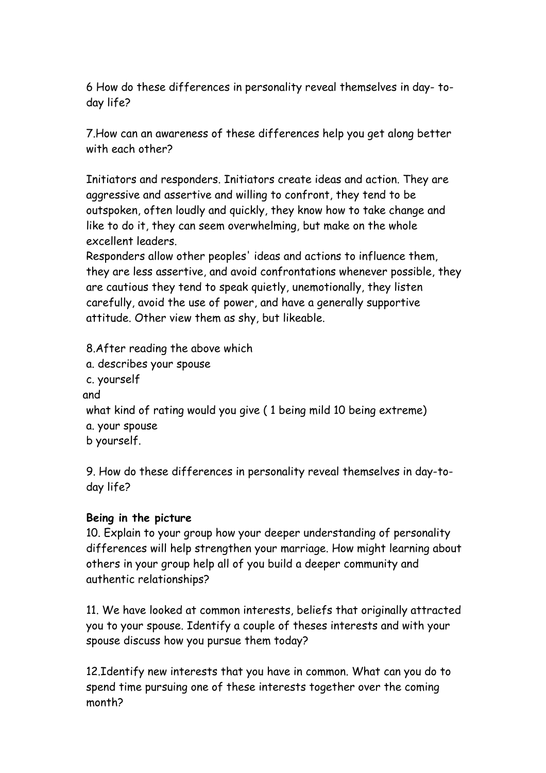6 How do these differences in personality reveal themselves in day- today life?

7.How can an awareness of these differences help you get along better with each other?

Initiators and responders. Initiators create ideas and action. They are aggressive and assertive and willing to confront, they tend to be outspoken, often loudly and quickly, they know how to take change and like to do it, they can seem overwhelming, but make on the whole excellent leaders.

Responders allow other peoples' ideas and actions to influence them, they are less assertive, and avoid confrontations whenever possible, they are cautious they tend to speak quietly, unemotionally, they listen carefully, avoid the use of power, and have a generally supportive attitude. Other view them as shy, but likeable.

8.After reading the above which a. describes your spouse c. yourself and what kind of rating would you give ( 1 being mild 10 being extreme) a. your spouse b yourself.

9. How do these differences in personality reveal themselves in day-today life?

## **Being in the picture**

10. Explain to your group how your deeper understanding of personality differences will help strengthen your marriage. How might learning about others in your group help all of you build a deeper community and authentic relationships?

11. We have looked at common interests, beliefs that originally attracted you to your spouse. Identify a couple of theses interests and with your spouse discuss how you pursue them today?

12.Identify new interests that you have in common. What can you do to spend time pursuing one of these interests together over the coming month?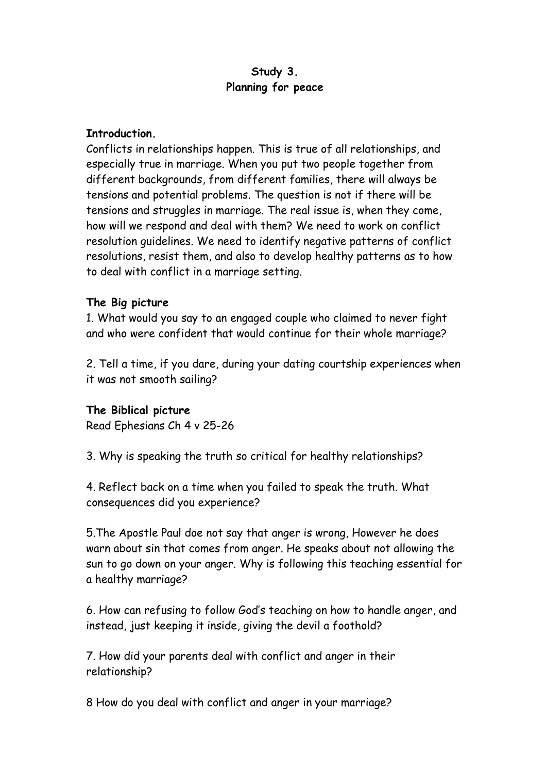## **Study 3. Planning for peace**

#### **Introduction.**

Conflicts in relationships happen. This is true of all relationships, and especially true in marriage. When you put two people together from different backgrounds, from different families, there will always be tensions and potential problems. The question is not if there will be tensions and struggles in marriage. The real issue is, when they come, how will we respond and deal with them? We need to work on conflict resolution guidelines. We need to identify negative patterns of conflict resolutions, resist them, and also to develop healthy patterns as to how to deal with conflict in a marriage setting.

## **The Big picture**

1. What would you say to an engaged couple who claimed to never fight and who were confident that would continue for their whole marriage?

2. Tell a time, if you dare, during your dating courtship experiences when it was not smooth sailing?

#### **The Biblical picture**

Read Ephesians Ch 4 v 25-26

3. Why is speaking the truth so critical for healthy relationships?

4. Reflect back on a time when you failed to speak the truth. What consequences did you experience?

5.The Apostle Paul doe not say that anger is wrong, However he does warn about sin that comes from anger. He speaks about not allowing the sun to go down on your anger. Why is following this teaching essential for a healthy marriage?

6. How can refusing to follow God's teaching on how to handle anger, and instead, just keeping it inside, giving the devil a foothold?

7. How did your parents deal with conflict and anger in their relationship?

8 How do you deal with conflict and anger in your marriage?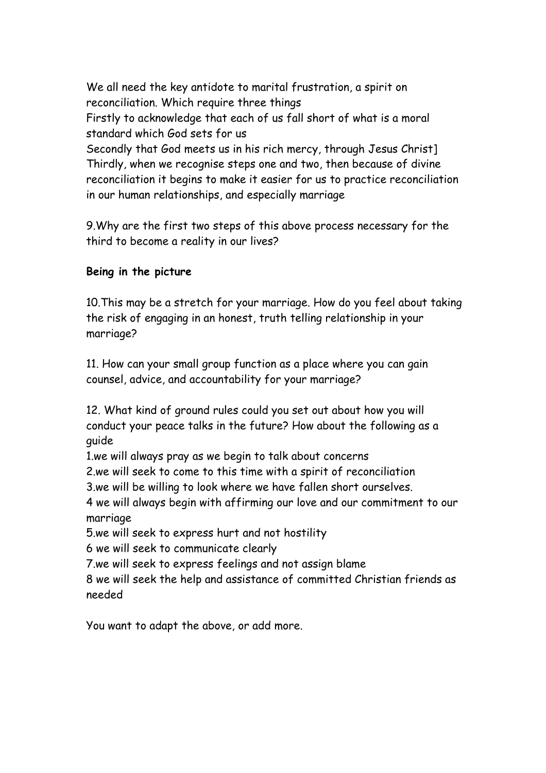We all need the key antidote to marital frustration, a spirit on reconciliation. Which require three things Firstly to acknowledge that each of us fall short of what is a moral standard which God sets for us Secondly that God meets us in his rich mercy, through Jesus Christ] Thirdly, when we recognise steps one and two, then because of divine reconciliation it begins to make it easier for us to practice reconciliation

in our human relationships, and especially marriage

9.Why are the first two steps of this above process necessary for the third to become a reality in our lives?

## **Being in the picture**

10.This may be a stretch for your marriage. How do you feel about taking the risk of engaging in an honest, truth telling relationship in your marriage?

11. How can your small group function as a place where you can gain counsel, advice, and accountability for your marriage?

12. What kind of ground rules could you set out about how you will conduct your peace talks in the future? How about the following as a guide

1.we will always pray as we begin to talk about concerns

2.we will seek to come to this time with a spirit of reconciliation

3.we will be willing to look where we have fallen short ourselves.

4 we will always begin with affirming our love and our commitment to our marriage

5.we will seek to express hurt and not hostility

6 we will seek to communicate clearly

7.we will seek to express feelings and not assign blame

8 we will seek the help and assistance of committed Christian friends as needed

You want to adapt the above, or add more.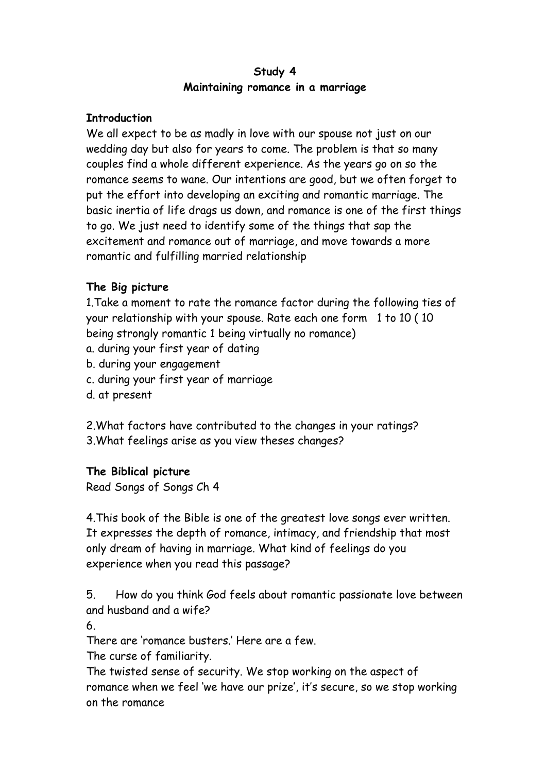## **Study 4 Maintaining romance in a marriage**

## **Introduction**

We all expect to be as madly in love with our spouse not just on our wedding day but also for years to come. The problem is that so many couples find a whole different experience. As the years go on so the romance seems to wane. Our intentions are good, but we often forget to put the effort into developing an exciting and romantic marriage. The basic inertia of life drags us down, and romance is one of the first things to go. We just need to identify some of the things that sap the excitement and romance out of marriage, and move towards a more romantic and fulfilling married relationship

## **The Big picture**

1.Take a moment to rate the romance factor during the following ties of your relationship with your spouse. Rate each one form 1 to 10 ( 10 being strongly romantic 1 being virtually no romance)

- a. during your first year of dating
- b. during your engagement
- c. during your first year of marriage
- d. at present

2.What factors have contributed to the changes in your ratings? 3.What feelings arise as you view theses changes?

#### **The Biblical picture**

Read Songs of Songs Ch 4

4.This book of the Bible is one of the greatest love songs ever written. It expresses the depth of romance, intimacy, and friendship that most only dream of having in marriage. What kind of feelings do you experience when you read this passage?

5. How do you think God feels about romantic passionate love between and husband and a wife?

6.

There are 'romance busters.' Here are a few.

The curse of familiarity.

The twisted sense of security. We stop working on the aspect of romance when we feel 'we have our prize', it's secure, so we stop working on the romance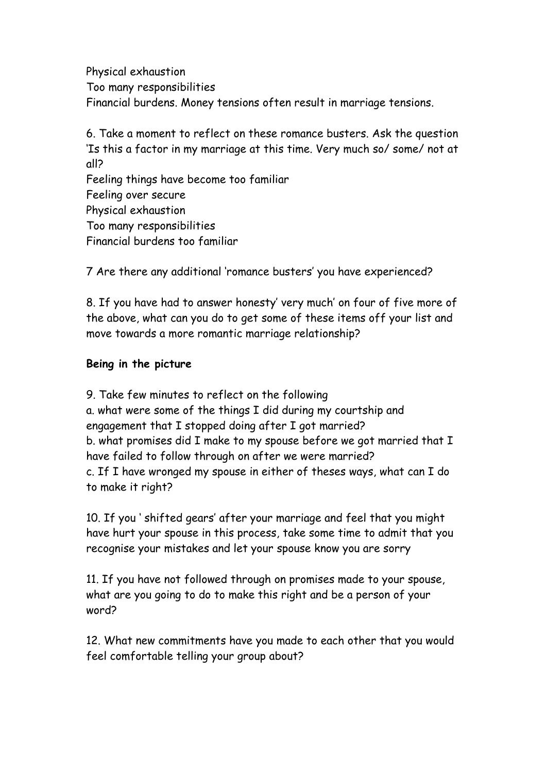Physical exhaustion Too many responsibilities Financial burdens. Money tensions often result in marriage tensions.

6. Take a moment to reflect on these romance busters. Ask the question 'Is this a factor in my marriage at this time. Very much so/ some/ not at all? Feeling things have become too familiar Feeling over secure Physical exhaustion Too many responsibilities Financial burdens too familiar

7 Are there any additional 'romance busters' you have experienced?

8. If you have had to answer honesty' very much' on four of five more of the above, what can you do to get some of these items off your list and move towards a more romantic marriage relationship?

#### **Being in the picture**

9. Take few minutes to reflect on the following a. what were some of the things I did during my courtship and engagement that I stopped doing after I got married? b. what promises did I make to my spouse before we got married that I have failed to follow through on after we were married? c. If I have wronged my spouse in either of theses ways, what can I do to make it right?

10. If you ' shifted gears' after your marriage and feel that you might have hurt your spouse in this process, take some time to admit that you recognise your mistakes and let your spouse know you are sorry

11. If you have not followed through on promises made to your spouse, what are you going to do to make this right and be a person of your word?

12. What new commitments have you made to each other that you would feel comfortable telling your group about?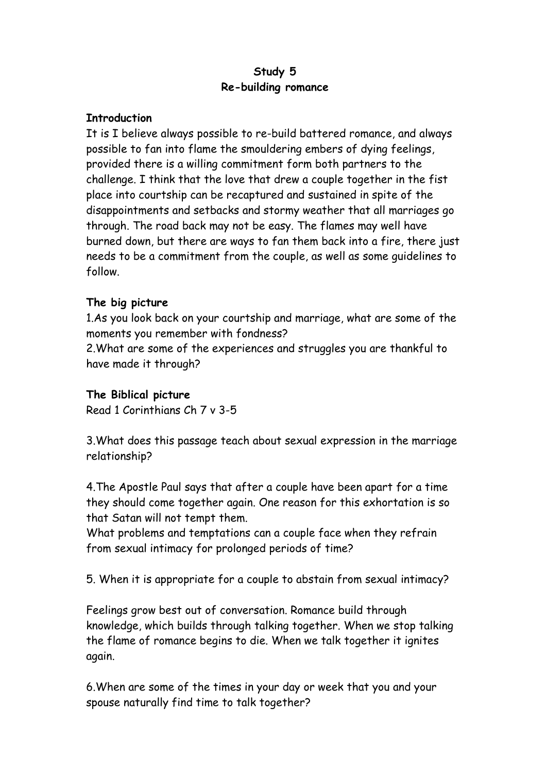## **Study 5 Re-building romance**

#### **Introduction**

It is I believe always possible to re-build battered romance, and always possible to fan into flame the smouldering embers of dying feelings, provided there is a willing commitment form both partners to the challenge. I think that the love that drew a couple together in the fist place into courtship can be recaptured and sustained in spite of the disappointments and setbacks and stormy weather that all marriages go through. The road back may not be easy. The flames may well have burned down, but there are ways to fan them back into a fire, there just needs to be a commitment from the couple, as well as some guidelines to follow.

## **The big picture**

1.As you look back on your courtship and marriage, what are some of the moments you remember with fondness?

2.What are some of the experiences and struggles you are thankful to have made it through?

## **The Biblical picture**

Read 1 Corinthians Ch 7 v 3-5

3.What does this passage teach about sexual expression in the marriage relationship?

4.The Apostle Paul says that after a couple have been apart for a time they should come together again. One reason for this exhortation is so that Satan will not tempt them.

What problems and temptations can a couple face when they refrain from sexual intimacy for prolonged periods of time?

5. When it is appropriate for a couple to abstain from sexual intimacy?

Feelings grow best out of conversation. Romance build through knowledge, which builds through talking together. When we stop talking the flame of romance begins to die. When we talk together it ignites again.

6.When are some of the times in your day or week that you and your spouse naturally find time to talk together?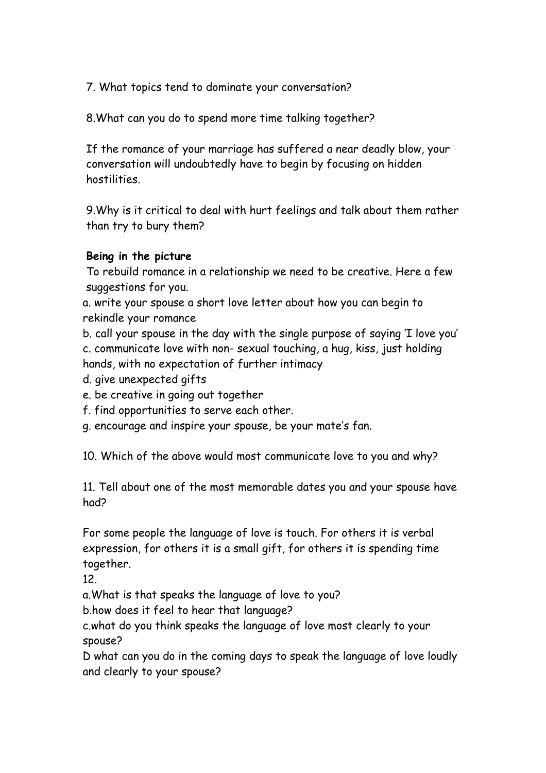7. What topics tend to dominate your conversation?

8.What can you do to spend more time talking together?

If the romance of your marriage has suffered a near deadly blow, your conversation will undoubtedly have to begin by focusing on hidden hostilities.

9.Why is it critical to deal with hurt feelings and talk about them rather than try to bury them?

# **Being in the picture**

To rebuild romance in a relationship we need to be creative. Here a few suggestions for you.

a. write your spouse a short love letter about how you can begin to rekindle your romance

b. call your spouse in the day with the single purpose of saying 'I love you' c. communicate love with non- sexual touching, a hug, kiss, just holding hands, with no expectation of further intimacy

d. give unexpected gifts

e. be creative in going out together

f. find opportunities to serve each other.

g. encourage and inspire your spouse, be your mate's fan.

10. Which of the above would most communicate love to you and why?

11. Tell about one of the most memorable dates you and your spouse have had?

For some people the language of love is touch. For others it is verbal expression, for others it is a small gift, for others it is spending time together.

12.

a.What is that speaks the language of love to you?

b.how does it feel to hear that language?

c.what do you think speaks the language of love most clearly to your spouse?

D what can you do in the coming days to speak the language of love loudly and clearly to your spouse?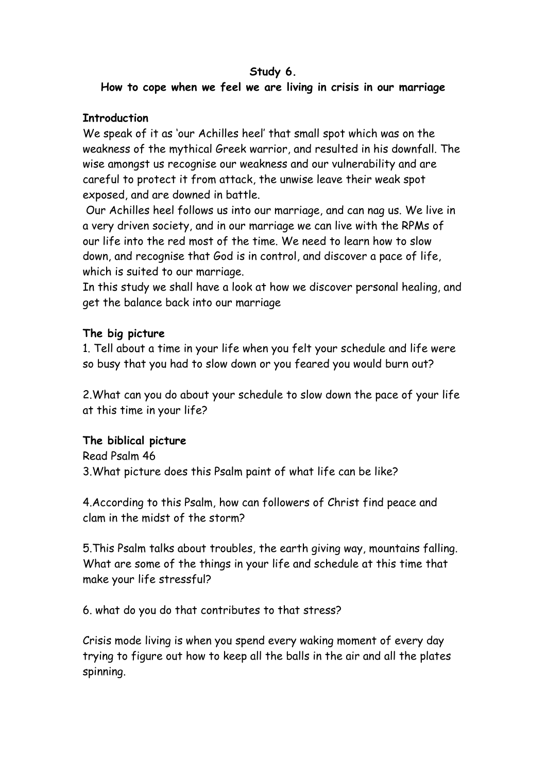#### **Study 6.**

# **How to cope when we feel we are living in crisis in our marriage**

## **Introduction**

We speak of it as 'our Achilles heel' that small spot which was on the weakness of the mythical Greek warrior, and resulted in his downfall. The wise amongst us recognise our weakness and our vulnerability and are careful to protect it from attack, the unwise leave their weak spot exposed, and are downed in battle.

 Our Achilles heel follows us into our marriage, and can nag us. We live in a very driven society, and in our marriage we can live with the RPMs of our life into the red most of the time. We need to learn how to slow down, and recognise that God is in control, and discover a pace of life, which is suited to our marriage.

In this study we shall have a look at how we discover personal healing, and get the balance back into our marriage

## **The big picture**

1. Tell about a time in your life when you felt your schedule and life were so busy that you had to slow down or you feared you would burn out?

2.What can you do about your schedule to slow down the pace of your life at this time in your life?

## **The biblical picture**

Read Psalm 46 3.What picture does this Psalm paint of what life can be like?

4.According to this Psalm, how can followers of Christ find peace and clam in the midst of the storm?

5.This Psalm talks about troubles, the earth giving way, mountains falling. What are some of the things in your life and schedule at this time that make your life stressful?

6. what do you do that contributes to that stress?

Crisis mode living is when you spend every waking moment of every day trying to figure out how to keep all the balls in the air and all the plates spinning.